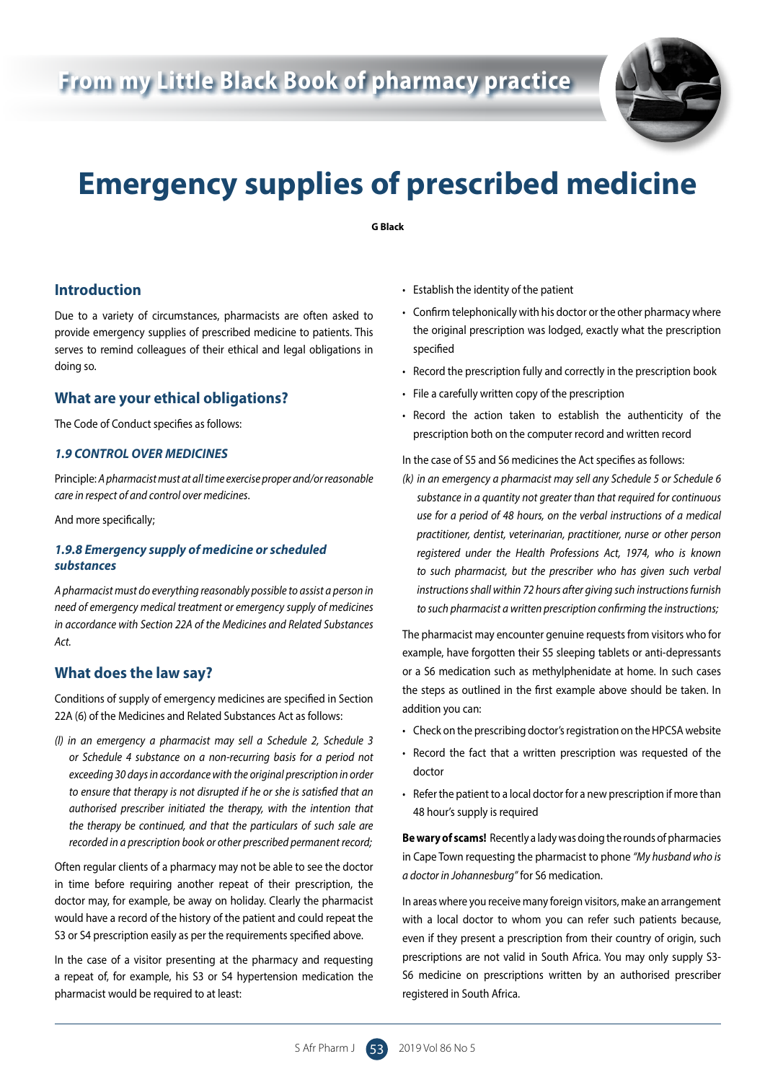# **From my Little Black Book of pharmacy practice**



# **Emergency supplies of prescribed medicine**

**G Black**

## **Introduction**

Due to a variety of circumstances, pharmacists are often asked to provide emergency supplies of prescribed medicine to patients. This serves to remind colleagues of their ethical and legal obligations in doing so.

## **What are your ethical obligations?**

The Code of Conduct specifies as follows:

#### *1.9 CONTROL OVER MEDICINES*

Principle: *A pharmacist must at all time exercise proper and/or reasonable care in respect of and control over medicines*.

And more specifically;

#### *1.9.8 Emergency supply of medicine or scheduled substances*

*A pharmacist must do everything reasonably possible to assist a person in need of emergency medical treatment or emergency supply of medicines in accordance with Section 22A of the Medicines and Related Substances Act.*

#### **What does the law say?**

Conditions of supply of emergency medicines are specified in Section 22A (6) of the Medicines and Related Substances Act as follows:

*(l) in an emergency a pharmacist may sell a Schedule 2, Schedule 3 or Schedule 4 substance on a non-recurring basis for a period not exceeding 30 days in accordance with the original prescription in order to ensure that therapy is not disrupted if he or she is satisfied that an authorised prescriber initiated the therapy, with the intention that the therapy be continued, and that the particulars of such sale are recorded in a prescription book or other prescribed permanent record;*

Often regular clients of a pharmacy may not be able to see the doctor in time before requiring another repeat of their prescription, the doctor may, for example, be away on holiday. Clearly the pharmacist would have a record of the history of the patient and could repeat the S3 or S4 prescription easily as per the requirements specified above.

In the case of a visitor presenting at the pharmacy and requesting a repeat of, for example, his S3 or S4 hypertension medication the pharmacist would be required to at least:

- Establish the identity of the patient
- Confirm telephonically with his doctor or the other pharmacy where the original prescription was lodged, exactly what the prescription specified
- Record the prescription fully and correctly in the prescription book
- File a carefully written copy of the prescription
- Record the action taken to establish the authenticity of the prescription both on the computer record and written record

In the case of S5 and S6 medicines the Act specifies as follows:

*(k) in an emergency a pharmacist may sell any Schedule 5 or Schedule 6 substance in a quantity not greater than that required for continuous use for a period of 48 hours, on the verbal instructions of a medical practitioner, dentist, veterinarian, practitioner, nurse or other person registered under the Health Professions Act, 1974, who is known to such pharmacist, but the prescriber who has given such verbal instructions shall within 72 hours after giving such instructions furnish to such pharmacist a written prescription confirming the instructions;*

The pharmacist may encounter genuine requests from visitors who for example, have forgotten their S5 sleeping tablets or anti-depressants or a S6 medication such as methylphenidate at home. In such cases the steps as outlined in the first example above should be taken. In addition you can:

- Check on the prescribing doctor's registration on the HPCSA website
- Record the fact that a written prescription was requested of the doctor
- Refer the patient to a local doctor for a new prescription if more than 48 hour's supply is required

**Be wary of scams!** Recently a lady was doing the rounds of pharmacies in Cape Town requesting the pharmacist to phone *"My husband who is a doctor in Johannesburg"* for S6 medication.

In areas where you receive many foreign visitors, make an arrangement with a local doctor to whom you can refer such patients because, even if they present a prescription from their country of origin, such prescriptions are not valid in South Africa. You may only supply S3- S6 medicine on prescriptions written by an authorised prescriber registered in South Africa.